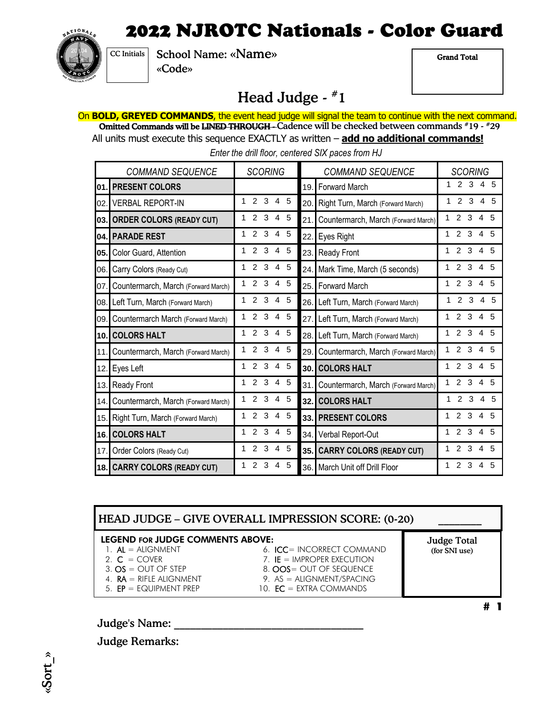

School Name: «Name» «Code» CC Initials

Grand Total

### Head Judge - #1

On **BOLD, GREYED COMMANDS**, the event head judge will signal the team to continue with the next command. **Omitted Commands will be <del>LINED THROUGH</del> --**Cadence will be checked between commands #19 - #29

All units must execute this sequence EXACTLY as written – **add no additional commands!**

 *Enter the drill floor, centered SIX paces from HJ* 

| <b>COMMAND SEQUENCE</b> |                                     | <b>SCORING</b>                                    | <b>COMMAND SEQUENCE</b>                    | <b>SCORING</b>                                    |
|-------------------------|-------------------------------------|---------------------------------------------------|--------------------------------------------|---------------------------------------------------|
| 01.                     | <b>PRESENT COLORS</b>               |                                                   | Forward March<br>19.                       | 2<br>3<br>$\overline{4}$<br>- 5<br>1              |
| 02.                     | <b>VERBAL REPORT-IN</b>             | 2<br>3<br>1<br>$\overline{4}$<br>- 5              | Right Turn, March (Forward March)<br>20.   | 3<br>2<br>$\overline{4}$<br>-5<br>1               |
| 03.                     | <b>ORDER COLORS (READY CUT)</b>     | 3<br>$\overline{2}$<br>$\overline{4}$<br>5<br>1   | Countermarch, March (Forward March)<br>21. | $\overline{2}$<br>3<br>$\overline{4}$<br>1<br>5   |
| 04.                     | <b>PARADE REST</b>                  | $\mathcal{P}$<br>3<br>$\overline{4}$<br>- 5<br>1  | Eyes Right<br>22.                          | 2<br>3<br>$\overline{4}$<br>-5<br>1.              |
| 05.                     | Color Guard, Attention              | 3<br>$\overline{2}$<br>$\overline{4}$<br>- 5<br>1 | Ready Front<br>23.                         | $\overline{2}$<br>3<br>$\overline{4}$<br>-5<br>1. |
| 06.                     | Carry Colors (Ready Cut)            | 3<br>$\mathcal{P}$<br>$4\overline{5}$<br>1        | Mark Time, March (5 seconds)<br>24.        | 3<br>$\mathcal{P}$<br>$\overline{4}$<br>- 5       |
| 07.                     | Countermarch, March (Forward March) | 3<br>$\overline{2}$<br>-5<br>1<br>$\overline{4}$  | <b>Forward March</b><br>25.                | 3<br>$\overline{2}$<br>$\overline{4}$<br>-5       |
| 08.I                    | Left Turn, March (Forward March)    | 3<br>$\mathcal{P}$<br>- 5<br>$\overline{4}$       | Left Turn, March (Forward March)<br>26.    | $3\quad 4$<br>$\overline{2}$<br>- 5<br>1          |
| 09.                     | Countermarch March (Forward March)  | $2^{\circ}$<br>3<br>- 5<br>$\overline{4}$<br>1    | Left Turn, March (Forward March)<br>27.    | 3<br>$\overline{2}$<br>$\overline{4}$<br>.5       |
| 10.1                    | <b>COLORS HALT</b>                  | $\overline{2}$<br>3<br>4 5                        | Left Turn, March (Forward March)<br>28.    | 3<br>$\overline{2}$<br>$\overline{4}$<br>-5       |
| 11.                     | Countermarch, March (Forward March) | 3<br>$\overline{2}$<br>4<br>5<br>1                | Countermarch, March (Forward March)<br>29. | 3<br>$\overline{2}$<br>$\overline{4}$<br>.5<br>1  |
| 12.                     | Eyes Left                           | 2<br>3<br>5<br>4<br>1                             | <b>COLORS HALT</b><br>30.                  | $\overline{2}$<br>3<br>$\overline{4}$<br>.5<br>1  |
| 13.1                    | Ready Front                         | $\overline{2}$<br>3<br>-5<br>$\overline{4}$<br>1  | Countermarch, March (Forward March)<br>31. | $\overline{2}$<br>3<br>$\overline{4}$<br>-5<br>1  |
| 14.I                    | Countermarch, March (Forward March) | 2<br>3<br>-5<br>1<br>4                            | <b>COLORS HALT</b><br>32.1                 | $\overline{2}$<br>3<br>4<br>-5<br>1               |
| 15.                     | Right Turn, March (Forward March)   | 3<br>-5<br>2<br>$\overline{4}$                    | <b>PRESENT COLORS</b><br>33.1              | 2<br>3<br>$\overline{4}$<br>-5<br>1               |
| 16.                     | <b>COLORS HALT</b>                  | 3<br>2<br>5<br>1<br>4                             | Verbal Report-Out<br>34.                   | $\mathcal{P}$<br>3<br>4<br>.5                     |
| 17.                     | Order Colors (Ready Cut)            | 3<br>$\overline{2}$<br>5<br>1<br>4                | <b>CARRY COLORS (READY CUT)</b><br>35.     | 2<br>3<br>4<br>.5                                 |
|                         | 18. CARRY COLORS (READY CUT)        | $\overline{2}$<br>3<br>5<br>1<br>4                | <b>March Unit off Drill Floor</b><br>36.   | 2<br>3<br>1<br>4<br>5                             |

#### HEAD JUDGE – GIVE OVERALL IMPRESSION SCORE: (0-20) Judge Total LEGEND FOR JUDGE COMMENTS ABOVE:

- 1. AL = ALIGNMENT 6. ICC= INCORRECT COMMAND
- 
- 
- 
- 
- 2.  $C = \text{Cover}$  7. IE = IMPROPER EXECUTION  $3. \text{OS} = \text{OUT OF STEP}$  8.  $\text{OOS} = \text{OUT OF SEQUENCE}$ 
	-
- (for SNI use)
- 
- 4.  $\mathsf{RA} = \mathsf{RIFLE}$  ALIGNMENT 9.  $\mathsf{AS} = \mathsf{ALIGNMENT} / \mathsf{SPACE}$
- 5.  $EP = EQUIPMENT PREP$  10.  $EC = EXTRA COMMANDS$

 $# 1$ 

Judge's Name:  $\overline{z}$ 

Judge Remarks:

«Sort\_»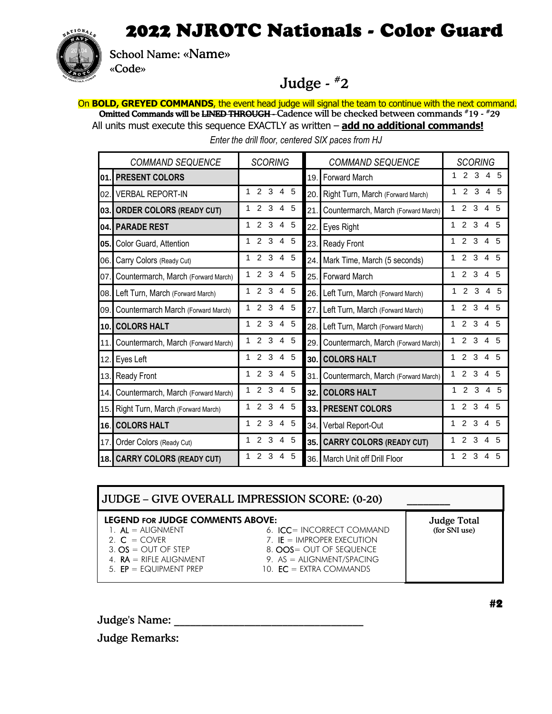

School Name: «Name»

«Code»

### Judge - #2

On **BOLD, GREYED COMMANDS**, the event head judge will signal the team to continue with the next command. **Omitted Commands will be <del>LINED THROUGH</del> -**-Cadence will be checked between commands #19 - #29 All units must execute this sequence EXACTLY as written – **add no additional commands!**

 *Enter the drill floor, centered SIX paces from HJ* 

| <b>COMMAND SEQUENCE</b> |                                     | <b>SCORING</b>                                 | <b>COMMAND SEQUENCE</b>                    |                                                          |
|-------------------------|-------------------------------------|------------------------------------------------|--------------------------------------------|----------------------------------------------------------|
| 01.                     | <b>PRESENT COLORS</b>               |                                                | <b>Forward March</b><br>19.                | $\mathcal{P}$<br>3<br>5<br>4                             |
| 02.                     | <b>VERBAL REPORT-IN</b>             | 3<br>$\mathcal{P}$<br>5<br>$\overline{4}$<br>1 | Right Turn, March (Forward March)<br>20.   | 3<br>$\mathcal{P}$<br>$\overline{4}$<br>5                |
| 03.                     | <b>ORDER COLORS (READY CUT)</b>     | $\mathcal{P}$<br>3<br>5<br>4                   | 21.<br>Countermarch, March (Forward March) | $\mathcal{P}$<br>3<br>.5<br>1.<br>4                      |
| 04.                     | <b>PARADE REST</b>                  | 3<br>5<br>1<br>2<br>4                          | Eyes Right<br>22.                          | 3<br>5<br>2<br>1<br>4                                    |
| 05.                     | Color Guard, Attention              | 3<br>5<br>2<br>$\overline{\mathbf{4}}$<br>1    | Ready Front<br>23.                         | 2<br>3<br>5<br>1<br>4                                    |
| 06.                     | Carry Colors (Ready Cut)            | 3<br>5<br>2<br>4<br>1                          | Mark Time, March (5 seconds)<br>24.        | 3<br>2<br>5<br>1<br>4                                    |
| 07.                     | Countermarch, March (Forward March) | 3<br>2<br>5<br>1<br>4                          | Forward March<br>25.                       | 3<br>2<br>5<br>1<br>4                                    |
| 08.                     | Left Turn, March (Forward March)    | 2<br>3<br>5<br>4                               | Left Turn, March (Forward March)<br>26.I   | 2<br>3<br>4<br>5                                         |
| 09.                     | Countermarch March (Forward March)  | $\overline{2}$<br>3<br>5<br>4                  | Left Turn, March (Forward March)<br>27.    | 3<br>$\overline{2}$<br>.5<br>1<br>4                      |
| 10.                     | <b>COLORS HALT</b>                  | 2<br>3<br>5<br>1<br>4                          | Left Turn, March (Forward March)<br>28.I   | 2<br>3<br>1<br>.5<br>4                                   |
| 11.                     | Countermarch, March (Forward March) | 5<br>2<br>3<br>4                               | Countermarch, March (Forward March)<br>29. | $\overline{2}$<br>3<br>1<br>5<br>4                       |
| 12.                     | Eyes Left                           | 1<br>2<br>3<br>5<br>4                          | 30. COLORS HALT                            | 3<br>2<br>5<br>1<br>4                                    |
| 13.                     | Ready Front                         | 2<br>3<br>5<br>1<br>4                          | Countermarch, March (Forward March)<br>31. | $\mathcal{P}$<br>3<br>1<br>5<br>4                        |
| 14.                     | Countermarch, March (Forward March) | $\mathcal{P}$<br>1<br>3<br>5<br>4              | <b>COLORS HALT</b><br>32.                  | $\mathfrak{p}$<br>3<br>$\overline{\mathbf{4}}$<br>5<br>1 |
| 15.                     | Right Turn, March (Forward March)   | 2<br>3<br>5<br>4                               | <b>PRESENT COLORS</b><br>33.               | $\mathcal{P}$<br>3<br>1<br>4<br>.5                       |
| 16.                     | <b>COLORS HALT</b>                  | 2<br>3<br>5<br>1<br>4                          | Verbal Report-Out<br>34.                   | 3<br>$\mathcal{P}$<br>.5<br>4                            |
| 17.                     | Order Colors (Ready Cut)            | 2<br>3<br>5<br>4                               | <b>CARRY COLORS (READY CUT)</b><br>35.     | 2<br>3<br>4<br>.5                                        |
|                         | 18. CARRY COLORS (READY CUT)        | 3<br>5<br>4                                    | 36. March Unit off Drill Floor             | 2<br>3<br>1<br>5                                         |

### JUDGE – GIVE OVERALL IMPRESSION SCORE: (0-20) \_\_\_\_\_\_\_\_

#### LEGEND FOR JUDGE COMMENTS ABOVE:

- 
- 
- 
- 
- 
- 1. AL = ALIGNMENT 6. ICC= INCORRECT COMMAND
- 2.  $C = \text{Cover}$  7. IE = IMPROPER EXECUTION
- $3. \text{OS} = \text{OUT OF STEP}$  8.  $\text{OOS} = \text{OUT OF SEQUENCE}$
- 4.  $\mathsf{RA} = \mathsf{RIFLE}$  ALIGNMENT 9.  $\mathsf{AS} = \mathsf{ALIGNMENT} / \mathsf{SPACE}$
- 5.  $EP = EQUIPMENT PREF$  10.  $EC = EXTRA COMMANDS$

Judge's Name:

Judge Remarks:

Judge Total (for SNI use)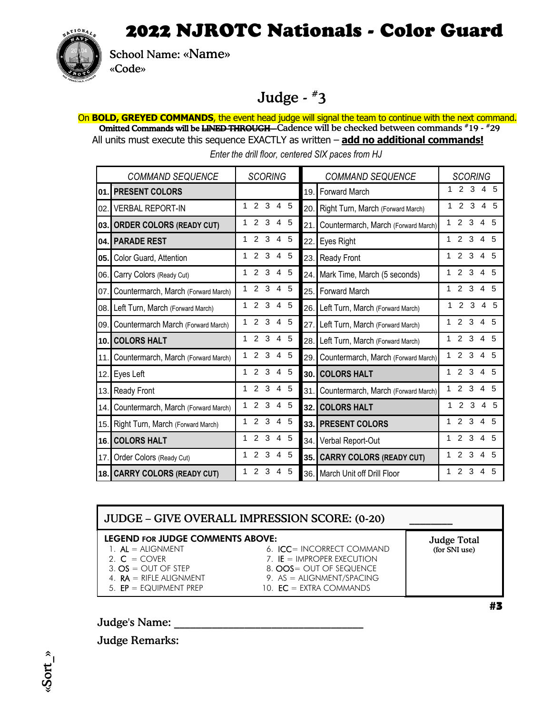

School Name: «Name» «Code»

## Judge - #3

On **BOLD, GREYED COMMANDS**, the event head judge will signal the team to continue with the next command. Omitted Commands will be <del>LINED THROUGH</del>--Cadence will be checked between commands #19 - #29 All units must execute this sequence EXACTLY as written – **add no additional commands!**

 *Enter the drill floor, centered SIX paces from HJ*

| <b>COMMAND SEQUENCE</b> |                                     | <b>SCORING</b>                                    | <b>COMMAND SEQUENCE</b>                    | <b>SCORING</b>                                     |
|-------------------------|-------------------------------------|---------------------------------------------------|--------------------------------------------|----------------------------------------------------|
| 01.                     | <b>PRESENT COLORS</b>               |                                                   | <b>Forward March</b><br>19.                | 2 <sub>3</sub><br>45                               |
| 02.                     | <b>VERBAL REPORT-IN</b>             | 3<br>$\mathcal{P}$<br>$4\overline{5}$<br>1        | Right Turn, March (Forward March)<br>20.   | 2 <sub>3</sub><br>4 5<br>1                         |
| 03.                     | <b>ORDER COLORS (READY CUT)</b>     | 3<br>$\mathcal{P}$<br>4 5<br>1                    | Countermarch, March (Forward March)<br>21. | 2 <sub>3</sub><br>4 5<br>1                         |
|                         | 04. PARADE REST                     | 3<br>$\overline{2}$<br>4 5                        | Eyes Right<br>22.                          | 3<br>$\mathbf{2}^{\circ}$<br>4 5                   |
| 05.                     | Color Guard, Attention              | 3<br>$\overline{2}$<br>4 5<br>1                   | <b>Ready Front</b><br>23.                  | 3<br>$\overline{2}$<br>4 5<br>1                    |
| 06.                     | Carry Colors (Ready Cut)            | 3<br>2<br>4 5<br>1                                | Mark Time, March (5 seconds)<br>24.        | 3<br>$\overline{2}$<br>4 5                         |
| 07.                     | Countermarch, March (Forward March) | 2 <sub>3</sub><br>$4\overline{5}$<br>$\mathbf 1$  | Forward March<br>25.                       | 3<br>$\mathcal{P}$<br>$4\overline{5}$<br>1         |
| 08.                     | Left Turn, March (Forward March)    | 2 <sub>3</sub><br>4 5<br>1                        | Left Turn, March (Forward March)<br>26.    | $3\quad 4$<br>$\overline{2}$<br>- 5<br>1           |
| 09.                     | Countermarch March (Forward March)  | $\overline{2}$<br>3<br>- 5<br>1<br>$\overline{4}$ | Left Turn, March (Forward March)<br>27.    | $\mathcal{P}$<br>3<br>$\overline{4}$<br>.5<br>1    |
| 10.1                    | <b>COLORS HALT</b>                  | 3<br>$\overline{2}$<br>4<br>- 5<br>1              | Left Turn, March (Forward March)<br>28.    | 3<br>$\overline{2}$<br>$\overline{4}$<br>.5<br>1   |
| 11.                     | Countermarch, March (Forward March) | 3<br>$\overline{2}$<br>4<br>-5<br>1               | Countermarch, March (Forward March)<br>29. | 3<br>$\overline{2}$<br>$\overline{4}$<br>-5<br>1   |
| 12.                     | Eyes Left                           | 2<br>3<br>4 5<br>1                                | 30. COLORS HALT                            | $\overline{2}$<br>3<br>$\overline{4}$<br>.5<br>1   |
| 13.                     | <b>Ready Front</b>                  | 3<br>-5<br>2<br>4<br>1                            | Countermarch, March (Forward March)<br>31. | $\overline{2}$<br>3<br>1<br>$\overline{4}$<br>.5   |
| 14.                     | Countermarch, March (Forward March) | 2<br>3<br>5<br>1<br>4                             | <b>COLORS HALT</b><br>32.1                 | $\overline{2}$<br>3<br>$\overline{4}$<br>.5<br>1   |
| 15.                     | Right Turn, March (Forward March)   | 2<br>3<br>-5<br>4<br>1                            | 33. PRESENT COLORS                         | $\overline{2}$<br>3<br>$\overline{4}$<br>.5<br>1   |
| 16.1                    | <b>COLORS HALT</b>                  | 3<br>- 5<br>2<br>4<br>1                           | Verbal Report-Out<br>34.                   | $\overline{2}$<br>-3<br>4<br>-5<br>1               |
| 17.                     | Order Colors (Ready Cut)            | 3<br>4 5<br>$\overline{2}$<br>1                   | 35. CARRY COLORS (READY CUT)               | $\overline{2}$<br>-3<br>$\overline{4}$<br>- 5<br>1 |
|                         | 18. CARRY COLORS (READY CUT)        | 3<br>2<br>-5<br>1<br>4                            | 36. March Unit off Drill Floor             | 2 <sub>3</sub><br>4<br>.5<br>1                     |

#### JUDGE – GIVE OVERALL IMPRESSION SCORE: (0-20) Judge Total (for SNI use) LEGEND FOR JUDGE COMMENTS ABOVE: 1.  $AL = ALIGNMENT$  6.  $ICC = INCORRECT COMMAND$ 2.  $C = COVER$  7. IE = IMPROPER EXECUTION  $3. \text{OS} = \text{OUT} \space \text{OF} \space \text{STEP}$  8.  $\text{OOS} = \text{OUT} \space \text{OF} \space \text{Sequence}$ 4. **RA** = RIFLE ALIGNMENT 9. AS = ALIGNMENT/SPACING 5.  $EP = EQUIPMENT PREF$  10.  $EC = EXTRA COMMANDS$

Judge's Name:  $\overline{z}$ 

Judge Remarks: